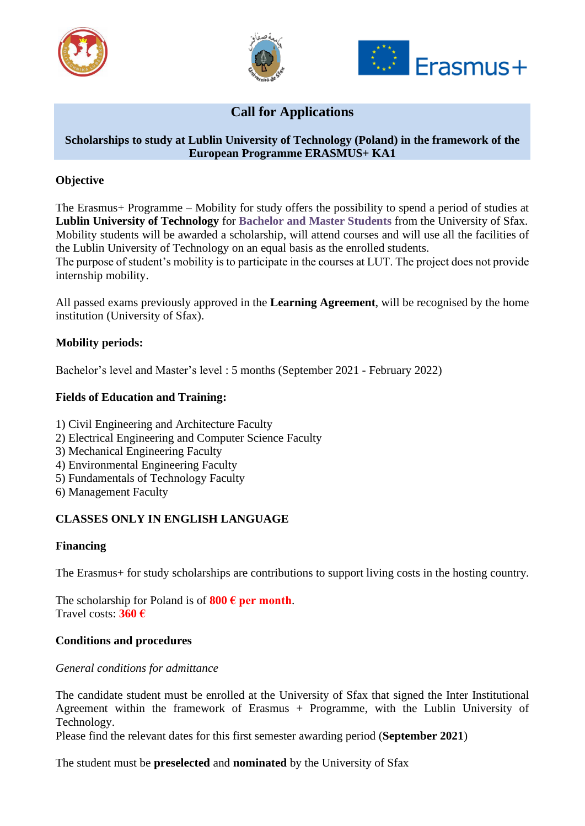





# **Call for Applications**

## **Scholarships to study at Lublin University of Technology (Poland) in the framework of the European Programme ERASMUS+ KA1**

## **Objective**

The Erasmus+ Programme – Mobility for study offers the possibility to spend a period of studies at **Lublin University of Technology** for **Bachelor and Master Students** from the University of Sfax. Mobility students will be awarded a scholarship, will attend courses and will use all the facilities of the Lublin University of Technology on an equal basis as the enrolled students.

The purpose of student's mobility is to participate in the courses at LUT. The project does not provide internship mobility.

All passed exams previously approved in the **Learning Agreement**, will be recognised by the home institution (University of Sfax).

### **Mobility periods:**

Bachelor's level and Master's level : 5 months (September 2021 - February 2022)

## **Fields of Education and Training:**

- 1) Civil Engineering and Architecture Faculty
- 2) Electrical Engineering and Computer Science Faculty
- 3) Mechanical Engineering Faculty
- 4) Environmental Engineering Faculty
- 5) Fundamentals of Technology Faculty
- 6) Management Faculty

### **CLASSES ONLY IN ENGLISH LANGUAGE**

### **Financing**

The Erasmus+ for study scholarships are contributions to support living costs in the hosting country.

The scholarship for Poland is of  $800 \text{ } \in \text{per month.}$ Travel costs: **360 €**

### **Conditions and procedures**

#### *General conditions for admittance*

The candidate student must be enrolled at the University of Sfax that signed the Inter Institutional Agreement within the framework of Erasmus + Programme, with the Lublin University of Technology.

Please find the relevant dates for this first semester awarding period (**September 2021**)

The student must be **preselected** and **nominated** by the University of Sfax